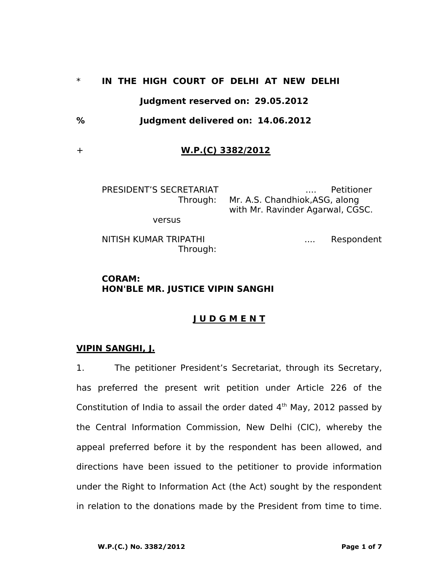# \* **IN THE HIGH COURT OF DELHI AT NEW DELHI Judgment reserved on: 29.05.2012**

**% Judgment delivered on: 14.06.2012**

# + **W.P.(C) 3382/2012**

PRESIDENT'S SECRETARIAT .... Petitioner Through: Mr. A.S. Chandhiok,ASG, along with Mr. Ravinder Agarwal, CGSC.

versus

NITISH KUMAR TRIPATHI **NITISH KUMAR TRIPATHI** Through:

### **CORAM: HON'BLE MR. JUSTICE VIPIN SANGHI**

# **J U D G M E N T**

#### **VIPIN SANGHI, J.**

1. The petitioner President's Secretariat, through its Secretary, has preferred the present writ petition under Article 226 of the Constitution of India to assail the order dated  $4<sup>th</sup>$  May, 2012 passed by the Central Information Commission, New Delhi (CIC), whereby the appeal preferred before it by the respondent has been allowed, and directions have been issued to the petitioner to provide information under the Right to Information Act (the Act) sought by the respondent in relation to the donations made by the President from time to time.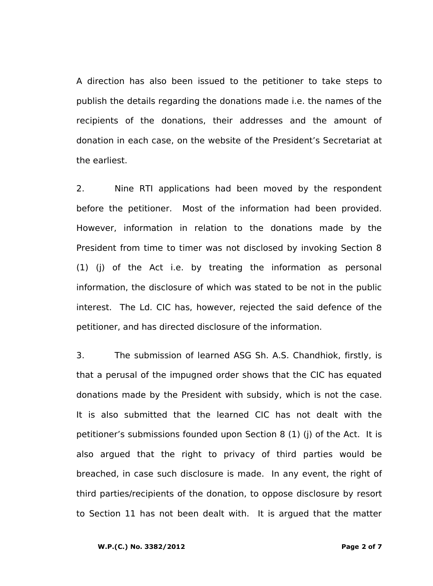A direction has also been issued to the petitioner to take steps to publish the details regarding the donations made i.e. the names of the recipients of the donations, their addresses and the amount of donation in each case, on the website of the President's Secretariat at the earliest.

2. Nine RTI applications had been moved by the respondent before the petitioner. Most of the information had been provided. However, information in relation to the donations made by the President from time to timer was not disclosed by invoking Section 8 (1) (j) of the Act i.e. by treating the information as personal information, the disclosure of which was stated to be not in the public interest. The Ld. CIC has, however, rejected the said defence of the petitioner, and has directed disclosure of the information.

3. The submission of learned ASG Sh. A.S. Chandhiok, firstly, is that a perusal of the impugned order shows that the CIC has equated donations made by the President with subsidy, which is not the case. It is also submitted that the learned CIC has not dealt with the petitioner's submissions founded upon Section 8 (1) (j) of the Act. It is also argued that the right to privacy of third parties would be breached, in case such disclosure is made. In any event, the right of third parties/recipients of the donation, to oppose disclosure by resort to Section 11 has not been dealt with. It is argued that the matter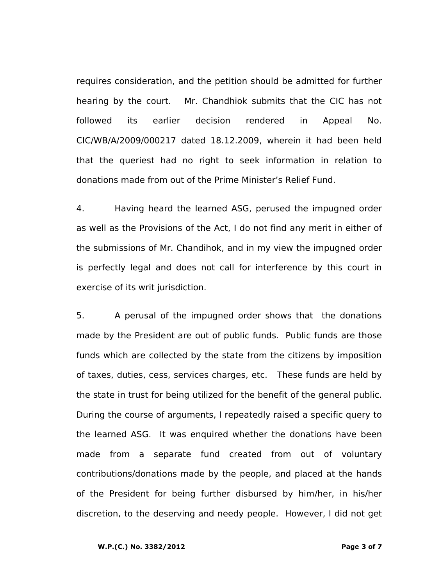requires consideration, and the petition should be admitted for further hearing by the court. Mr. Chandhiok submits that the CIC has not followed its earlier decision rendered in Appeal No. CIC/WB/A/2009/000217 dated 18.12.2009, wherein it had been held that the queriest had no right to seek information in relation to donations made from out of the Prime Minister's Relief Fund.

4. Having heard the learned ASG, perused the impugned order as well as the Provisions of the Act, I do not find any merit in either of the submissions of Mr. Chandihok, and in my view the impugned order is perfectly legal and does not call for interference by this court in exercise of its writ jurisdiction.

5. A perusal of the impugned order shows that the donations made by the President are out of public funds. Public funds are those funds which are collected by the state from the citizens by imposition of taxes, duties, cess, services charges, etc. These funds are held by the state in trust for being utilized for the benefit of the general public. During the course of arguments, I repeatedly raised a specific query to the learned ASG. It was enquired whether the donations have been made from a separate fund created from out of voluntary contributions/donations made by the people, and placed at the hands of the President for being further disbursed by him/her, in his/her discretion, to the deserving and needy people. However, I did not get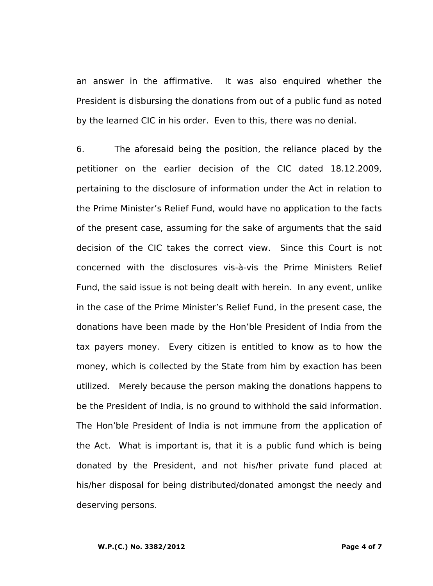an answer in the affirmative. It was also enquired whether the President is disbursing the donations from out of a public fund as noted by the learned CIC in his order. Even to this, there was no denial.

6. The aforesaid being the position, the reliance placed by the petitioner on the earlier decision of the CIC dated 18.12.2009, pertaining to the disclosure of information under the Act in relation to the Prime Minister's Relief Fund, would have no application to the facts of the present case, assuming for the sake of arguments that the said decision of the CIC takes the correct view. Since this Court is not concerned with the disclosures vis-à-vis the Prime Ministers Relief Fund, the said issue is not being dealt with herein. In any event, unlike in the case of the Prime Minister's Relief Fund, in the present case, the donations have been made by the Hon'ble President of India from the tax payers money. Every citizen is entitled to know as to how the money, which is collected by the State from him by exaction has been utilized. Merely because the person making the donations happens to be the President of India, is no ground to withhold the said information. The Hon'ble President of India is not immune from the application of the Act. What is important is, that it is a public fund which is being donated by the President, and not his/her private fund placed at his/her disposal for being distributed/donated amongst the needy and deserving persons.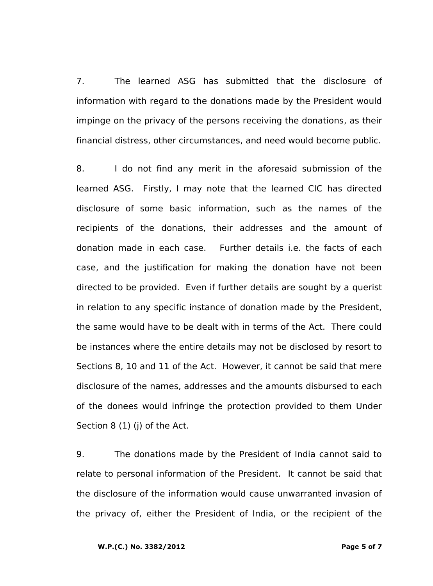7. The learned ASG has submitted that the disclosure of information with regard to the donations made by the President would impinge on the privacy of the persons receiving the donations, as their financial distress, other circumstances, and need would become public.

8. I do not find any merit in the aforesaid submission of the learned ASG. Firstly, I may note that the learned CIC has directed disclosure of some basic information, such as the names of the recipients of the donations, their addresses and the amount of donation made in each case. Further details i.e. the facts of each case, and the justification for making the donation have not been directed to be provided. Even if further details are sought by a querist in relation to any specific instance of donation made by the President, the same would have to be dealt with in terms of the Act. There could be instances where the entire details may not be disclosed by resort to Sections 8, 10 and 11 of the Act. However, it cannot be said that mere disclosure of the names, addresses and the amounts disbursed to each of the donees would infringe the protection provided to them Under Section 8 (1) (j) of the Act.

9. The donations made by the President of India cannot said to relate to personal information of the President. It cannot be said that the disclosure of the information would cause unwarranted invasion of the privacy of, either the President of India, or the recipient of the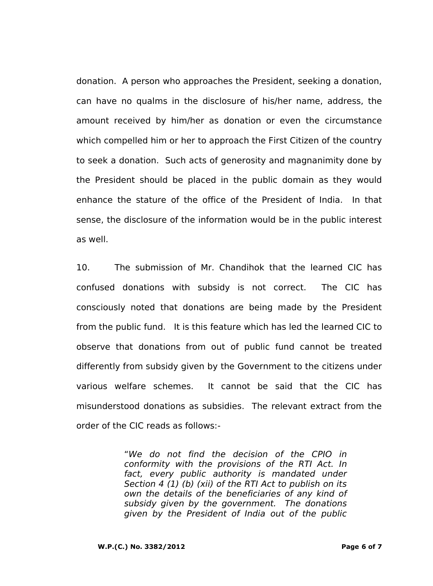donation. A person who approaches the President, seeking a donation, can have no qualms in the disclosure of his/her name, address, the amount received by him/her as donation or even the circumstance which compelled him or her to approach the First Citizen of the country to seek a donation. Such acts of generosity and magnanimity done by the President should be placed in the public domain as they would enhance the stature of the office of the President of India. In that sense, the disclosure of the information would be in the public interest as well.

10. The submission of Mr. Chandihok that the learned CIC has confused donations with subsidy is not correct. The CIC has consciously noted that donations are being made by the President from the public fund. It is this feature which has led the learned CIC to observe that donations from out of public fund cannot be treated differently from subsidy given by the Government to the citizens under various welfare schemes. It cannot be said that the CIC has misunderstood donations as subsidies. The relevant extract from the order of the CIC reads as follows:-

> "*We do not find the decision of the CPIO in conformity with the provisions of the RTI Act. In*  fact, every public authority is mandated under *Section 4 (1) (b) (xii) of the RTI Act to publish on its own the details of the beneficiaries of any kind of subsidy given by the government. The donations given by the President of India out of the public*